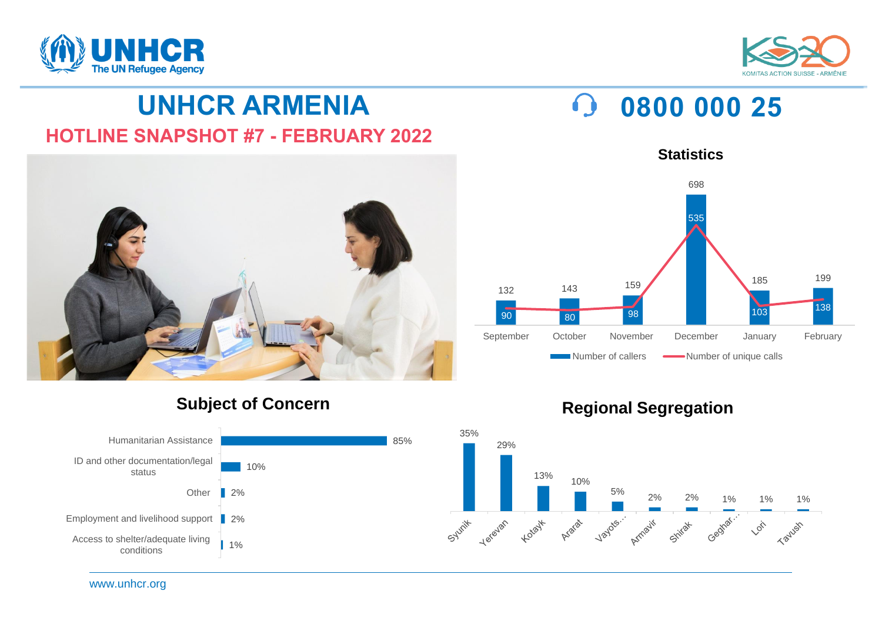



# **UNHCR ARMENIA**

## **HOTLINE SNAPSHOT #7 - FEBRUARY 2022**



#### **Statistics**

**0800 000 25**



 $\Omega$ 

## **Subject of Concern**



### **Regional Segregation**



www.unhcr.org